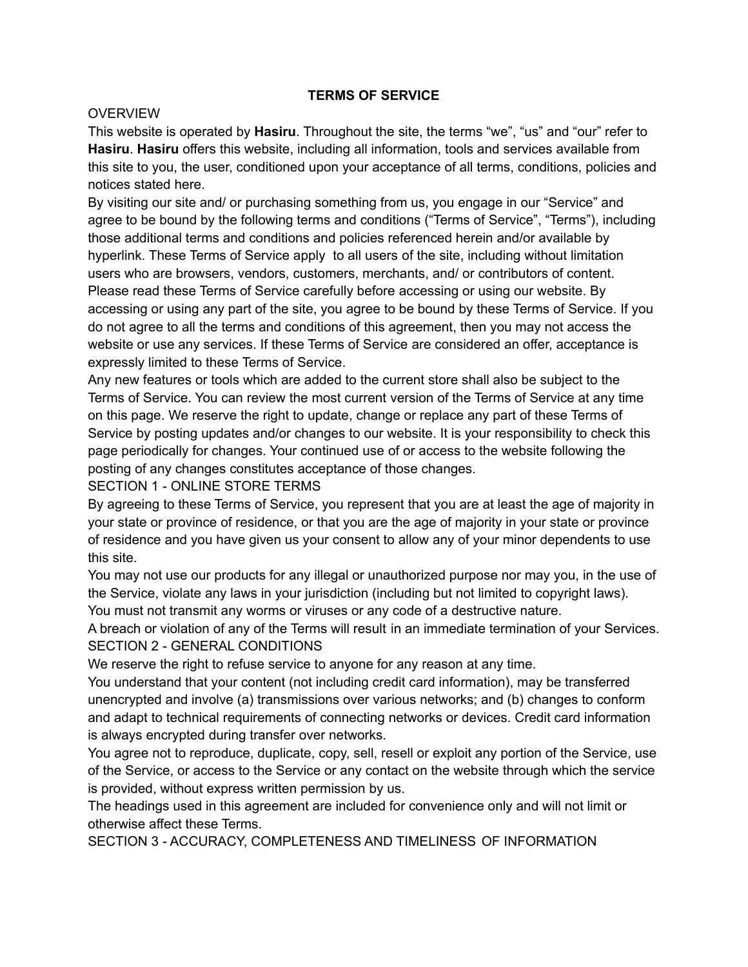#### **TERMS OF SERVICE**

#### **OVERVIEW**

This website is operated by **Hasiru**. Throughout the site, the terms "we", "us" and "our" refer to **Hasiru**. **Hasiru** offers this website, including all information, tools and services available from this site to you, the user, conditioned upon your acceptance of all terms, conditions, policies and notices stated here.

By visiting our site and/ or purchasing something from us, you engage in our "Service" and agree to be bound by the following terms and conditions ("Terms of Service", "Terms"), including those additional terms and conditions and policies referenced herein and/or available by hyperlink. These Terms of Service apply to all users of the site, including without limitation users who are browsers, vendors, customers, merchants, and/ or contributors of content. Please read these Terms of Service carefully before accessing or using our website. By accessing or using any part of the site, you agree to be bound by these Terms of Service. If you do not agree to all the terms and conditions of this agreement, then you may not access the website or use any services. If these Terms of Service are considered an offer, acceptance is expressly limited to these Terms of Service.

Any new features or tools which are added to the current store shall also be subject to the Terms of Service. You can review the most current version of the Terms of Service at any time on this page. We reserve the right to update, change or replace any part of these Terms of Service by posting updates and/or changes to our website. It is your responsibility to check this page periodically for changes. Your continued use of or access to the website following the posting of any changes constitutes acceptance of those changes.

SECTION 1 - ONLINE STORE TERMS

By agreeing to these Terms of Service, you represent that you are at least the age of majority in your state or province of residence, or that you are the age of majority in your state or province of residence and you have given us your consent to allow any of your minor dependents to use this site.

You may not use our products for any illegal or unauthorized purpose nor may you, in the use of the Service, violate any laws in your jurisdiction (including but not limited to copyright laws).

You must not transmit any worms or viruses or any code of a destructive nature.

A breach or violation of any of the Terms will result in an immediate termination of your Services. SECTION 2 - GENERAL CONDITIONS

We reserve the right to refuse service to anyone for any reason at any time.

You understand that your content (not including credit card information), may be transferred unencrypted and involve (a) transmissions over various networks; and (b) changes to conform and adapt to technical requirements of connecting networks or devices. Credit card information is always encrypted during transfer over networks.

You agree not to reproduce, duplicate, copy, sell, resell or exploit any portion of the Service, use of the Service, or access to the Service or any contact on the website through which the service is provided, without express written permission by us.

The headings used in this agreement are included for convenience only and will not limit or otherwise affect these Terms.

SECTION 3 - ACCURACY, COMPLETENESS AND TIMELINESS OF INFORMATION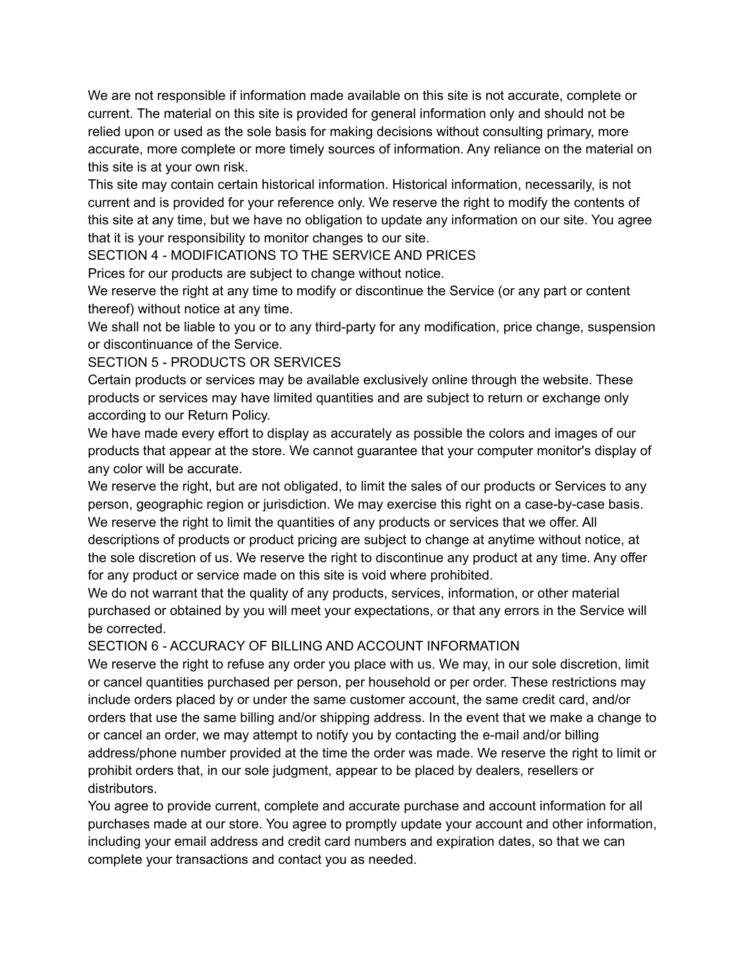We are not responsible if information made available on this site is not accurate, complete or current. The material on this site is provided for general information only and should not be relied upon or used as the sole basis for making decisions without consulting primary, more accurate, more complete or more timely sources of information. Any reliance on the material on this site is at your own risk.

This site may contain certain historical information. Historical information, necessarily, is not current and is provided for your reference only. We reserve the right to modify the contents of this site at any time, but we have no obligation to update any information on our site. You agree that it is your responsibility to monitor changes to our site.

SECTION 4 - MODIFICATIONS TO THE SERVICE AND PRICES

Prices for our products are subject to change without notice.

We reserve the right at any time to modify or discontinue the Service (or any part or content thereof) without notice at any time.

We shall not be liable to you or to any third-party for any modification, price change, suspension or discontinuance of the Service.

SECTION 5 - PRODUCTS OR SERVICES

Certain products or services may be available exclusively online through the website. These products or services may have limited quantities and are subject to return or exchange only according to our Return Policy.

We have made every effort to display as accurately as possible the colors and images of our products that appear at the store. We cannot guarantee that your computer monitor's display of any color will be accurate.

We reserve the right, but are not obligated, to limit the sales of our products or Services to any person, geographic region or jurisdiction. We may exercise this right on a case-by-case basis. We reserve the right to limit the quantities of any products or services that we offer. All descriptions of products or product pricing are subject to change at anytime without notice, at the sole discretion of us. We reserve the right to discontinue any product at any time. Any offer for any product or service made on this site is void where prohibited.

We do not warrant that the quality of any products, services, information, or other material purchased or obtained by you will meet your expectations, or that any errors in the Service will be corrected.

SECTION 6 - ACCURACY OF BILLING AND ACCOUNT INFORMATION

We reserve the right to refuse any order you place with us. We may, in our sole discretion, limit or cancel quantities purchased per person, per household or per order. These restrictions may include orders placed by or under the same customer account, the same credit card, and/or orders that use the same billing and/or shipping address. In the event that we make a change to or cancel an order, we may attempt to notify you by contacting the e-mail and/or billing address/phone number provided at the time the order was made. We reserve the right to limit or prohibit orders that, in our sole judgment, appear to be placed by dealers, resellers or distributors.

You agree to provide current, complete and accurate purchase and account information for all purchases made at our store. You agree to promptly update your account and other information, including your email address and credit card numbers and expiration dates, so that we can complete your transactions and contact you as needed.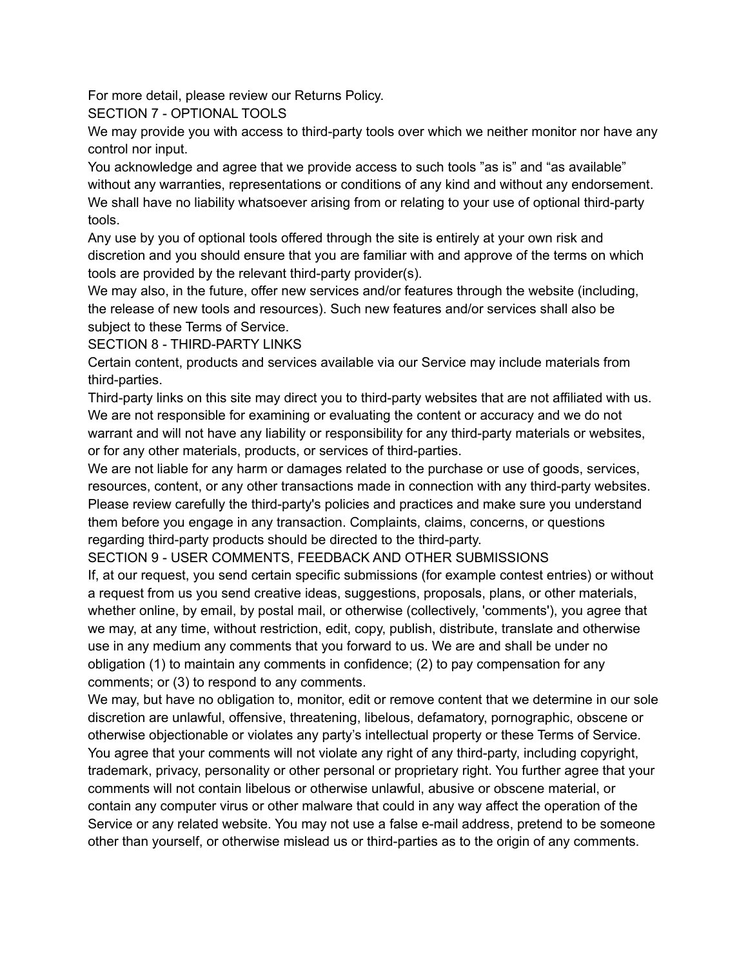For more detail, please review our Returns Policy.

SECTION 7 - OPTIONAL TOOLS

We may provide you with access to third-party tools over which we neither monitor nor have any control nor input.

You acknowledge and agree that we provide access to such tools "as is" and "as available" without any warranties, representations or conditions of any kind and without any endorsement. We shall have no liability whatsoever arising from or relating to your use of optional third-party tools.

Any use by you of optional tools offered through the site is entirely at your own risk and discretion and you should ensure that you are familiar with and approve of the terms on which tools are provided by the relevant third-party provider(s).

We may also, in the future, offer new services and/or features through the website (including, the release of new tools and resources). Such new features and/or services shall also be subject to these Terms of Service.

SECTION 8 - THIRD-PARTY LINKS

Certain content, products and services available via our Service may include materials from third-parties.

Third-party links on this site may direct you to third-party websites that are not affiliated with us. We are not responsible for examining or evaluating the content or accuracy and we do not warrant and will not have any liability or responsibility for any third-party materials or websites, or for any other materials, products, or services of third-parties.

We are not liable for any harm or damages related to the purchase or use of goods, services, resources, content, or any other transactions made in connection with any third-party websites. Please review carefully the third-party's policies and practices and make sure you understand them before you engage in any transaction. Complaints, claims, concerns, or questions regarding third-party products should be directed to the third-party.

SECTION 9 - USER COMMENTS, FEEDBACK AND OTHER SUBMISSIONS

If, at our request, you send certain specific submissions (for example contest entries) or without a request from us you send creative ideas, suggestions, proposals, plans, or other materials, whether online, by email, by postal mail, or otherwise (collectively, 'comments'), you agree that we may, at any time, without restriction, edit, copy, publish, distribute, translate and otherwise use in any medium any comments that you forward to us. We are and shall be under no obligation (1) to maintain any comments in confidence; (2) to pay compensation for any comments; or (3) to respond to any comments.

We may, but have no obligation to, monitor, edit or remove content that we determine in our sole discretion are unlawful, offensive, threatening, libelous, defamatory, pornographic, obscene or otherwise objectionable or violates any party's intellectual property or these Terms of Service. You agree that your comments will not violate any right of any third-party, including copyright, trademark, privacy, personality or other personal or proprietary right. You further agree that your comments will not contain libelous or otherwise unlawful, abusive or obscene material, or contain any computer virus or other malware that could in any way affect the operation of the Service or any related website. You may not use a false e-mail address, pretend to be someone other than yourself, or otherwise mislead us or third-parties as to the origin of any comments.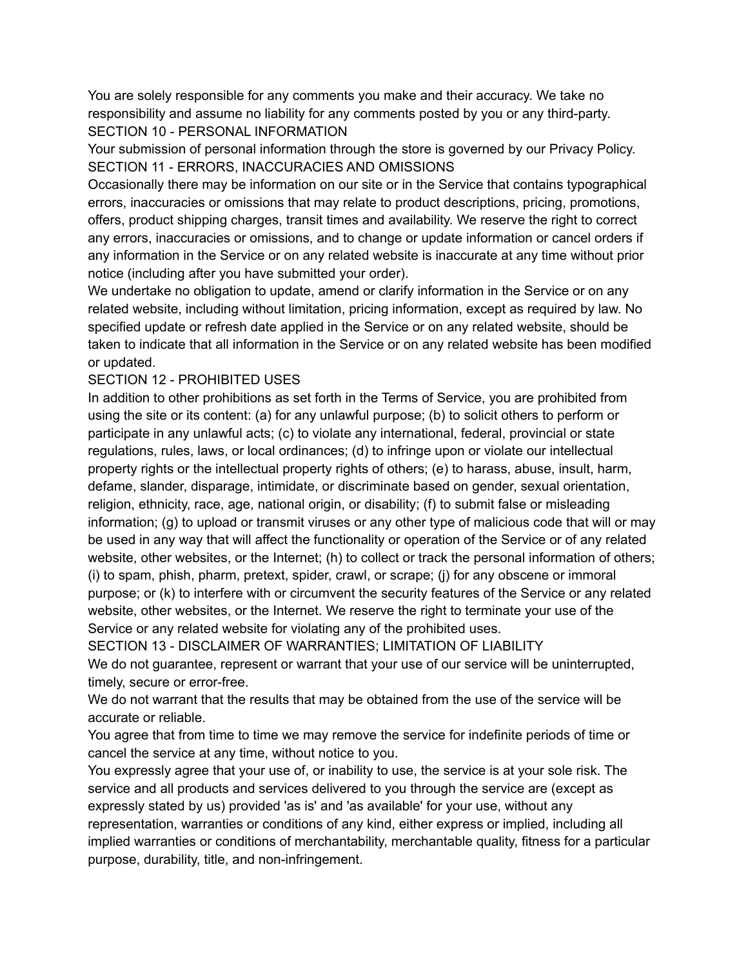You are solely responsible for any comments you make and their accuracy. We take no responsibility and assume no liability for any comments posted by you or any third-party. SECTION 10 - PERSONAL INFORMATION

Your submission of personal information through the store is governed by our Privacy Policy. SECTION 11 - ERRORS, INACCURACIES AND OMISSIONS

Occasionally there may be information on our site or in the Service that contains typographical errors, inaccuracies or omissions that may relate to product descriptions, pricing, promotions, offers, product shipping charges, transit times and availability. We reserve the right to correct any errors, inaccuracies or omissions, and to change or update information or cancel orders if any information in the Service or on any related website is inaccurate at any time without prior notice (including after you have submitted your order).

We undertake no obligation to update, amend or clarify information in the Service or on any related website, including without limitation, pricing information, except as required by law. No specified update or refresh date applied in the Service or on any related website, should be taken to indicate that all information in the Service or on any related website has been modified or updated.

## SECTION 12 - PROHIBITED USES

In addition to other prohibitions as set forth in the Terms of Service, you are prohibited from using the site or its content: (a) for any unlawful purpose; (b) to solicit others to perform or participate in any unlawful acts; (c) to violate any international, federal, provincial or state regulations, rules, laws, or local ordinances; (d) to infringe upon or violate our intellectual property rights or the intellectual property rights of others; (e) to harass, abuse, insult, harm, defame, slander, disparage, intimidate, or discriminate based on gender, sexual orientation, religion, ethnicity, race, age, national origin, or disability; (f) to submit false or misleading information; (g) to upload or transmit viruses or any other type of malicious code that will or may be used in any way that will affect the functionality or operation of the Service or of any related website, other websites, or the Internet; (h) to collect or track the personal information of others; (i) to spam, phish, pharm, pretext, spider, crawl, or scrape; (j) for any obscene or immoral purpose; or (k) to interfere with or circumvent the security features of the Service or any related website, other websites, or the Internet. We reserve the right to terminate your use of the Service or any related website for violating any of the prohibited uses.

SECTION 13 - DISCLAIMER OF WARRANTIES; LIMITATION OF LIABILITY We do not guarantee, represent or warrant that your use of our service will be uninterrupted, timely, secure or error-free.

We do not warrant that the results that may be obtained from the use of the service will be accurate or reliable.

You agree that from time to time we may remove the service for indefinite periods of time or cancel the service at any time, without notice to you.

You expressly agree that your use of, or inability to use, the service is at your sole risk. The service and all products and services delivered to you through the service are (except as expressly stated by us) provided 'as is' and 'as available' for your use, without any representation, warranties or conditions of any kind, either express or implied, including all implied warranties or conditions of merchantability, merchantable quality, fitness for a particular purpose, durability, title, and non-infringement.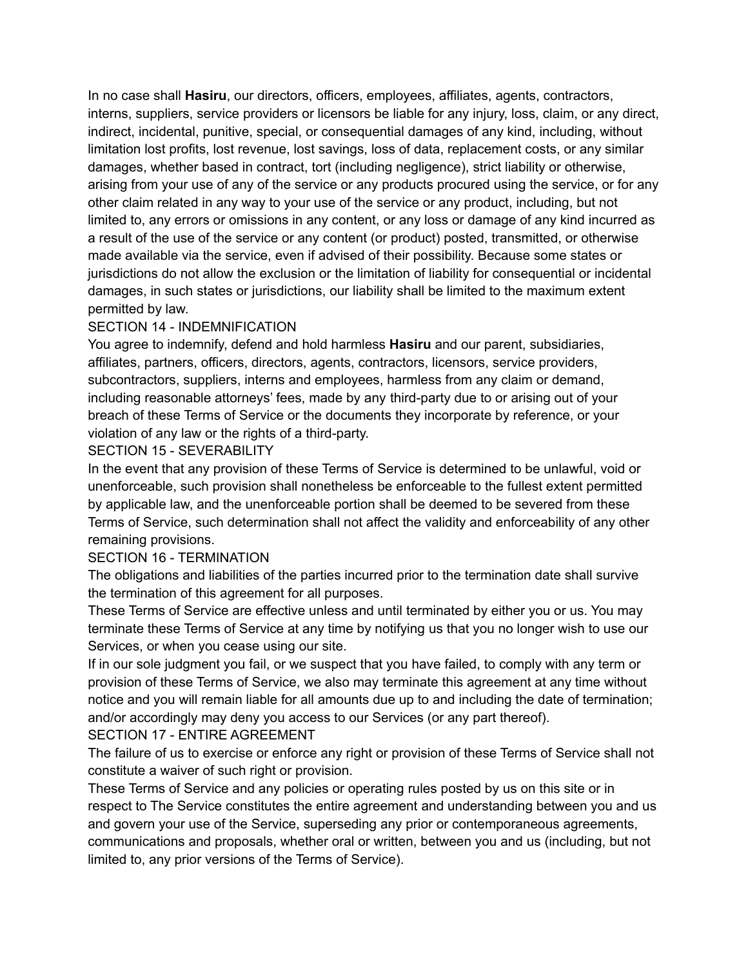In no case shall **Hasiru**, our directors, officers, employees, affiliates, agents, contractors, interns, suppliers, service providers or licensors be liable for any injury, loss, claim, or any direct, indirect, incidental, punitive, special, or consequential damages of any kind, including, without limitation lost profits, lost revenue, lost savings, loss of data, replacement costs, or any similar damages, whether based in contract, tort (including negligence), strict liability or otherwise, arising from your use of any of the service or any products procured using the service, or for any other claim related in any way to your use of the service or any product, including, but not limited to, any errors or omissions in any content, or any loss or damage of any kind incurred as a result of the use of the service or any content (or product) posted, transmitted, or otherwise made available via the service, even if advised of their possibility. Because some states or jurisdictions do not allow the exclusion or the limitation of liability for consequential or incidental damages, in such states or jurisdictions, our liability shall be limited to the maximum extent permitted by law.

## SECTION 14 - INDEMNIFICATION

You agree to indemnify, defend and hold harmless **Hasiru** and our parent, subsidiaries, affiliates, partners, officers, directors, agents, contractors, licensors, service providers, subcontractors, suppliers, interns and employees, harmless from any claim or demand, including reasonable attorneys' fees, made by any third-party due to or arising out of your breach of these Terms of Service or the documents they incorporate by reference, or your violation of any law or the rights of a third-party.

## SECTION 15 - SEVERABILITY

In the event that any provision of these Terms of Service is determined to be unlawful, void or unenforceable, such provision shall nonetheless be enforceable to the fullest extent permitted by applicable law, and the unenforceable portion shall be deemed to be severed from these Terms of Service, such determination shall not affect the validity and enforceability of any other remaining provisions.

#### SECTION 16 - TERMINATION

The obligations and liabilities of the parties incurred prior to the termination date shall survive the termination of this agreement for all purposes.

These Terms of Service are effective unless and until terminated by either you or us. You may terminate these Terms of Service at any time by notifying us that you no longer wish to use our Services, or when you cease using our site.

If in our sole judgment you fail, or we suspect that you have failed, to comply with any term or provision of these Terms of Service, we also may terminate this agreement at any time without notice and you will remain liable for all amounts due up to and including the date of termination; and/or accordingly may deny you access to our Services (or any part thereof).

# SECTION 17 - ENTIRE AGREEMENT

The failure of us to exercise or enforce any right or provision of these Terms of Service shall not constitute a waiver of such right or provision.

These Terms of Service and any policies or operating rules posted by us on this site or in respect to The Service constitutes the entire agreement and understanding between you and us and govern your use of the Service, superseding any prior or contemporaneous agreements, communications and proposals, whether oral or written, between you and us (including, but not limited to, any prior versions of the Terms of Service).